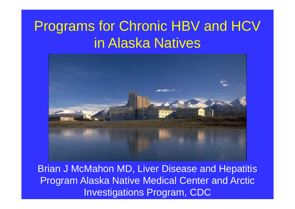#### Programs for Chronic HBV and HCV in Alaska Natives



Brian J McMahon MD, Liver Disease and Hepatitis Program Alaska Native Medical Center and Arctic Investigations Program, CDC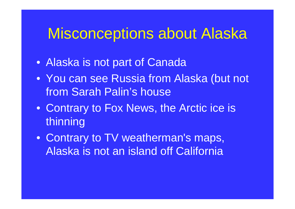#### Misconceptions about Alaska

- Alaska is not part of Canada
- You can see Russia from Alaska (but not from Sarah Palin's house
- Contrary to Fox News, the Arctic ice is thinning
- Contrary to TV weatherman's maps, Alaska is not an island off California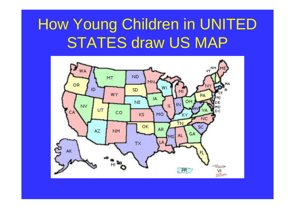# How Young Children in UNITED STATES draw US MAP

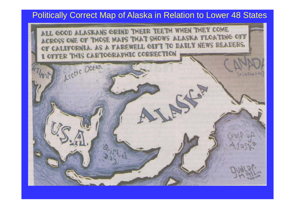#### Politically Correct Map of Alaska in Relation to Lower 48 States

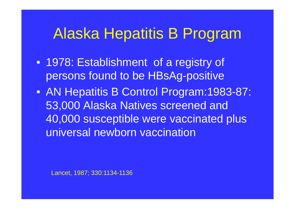## Alaska Hepatitis B Program

- 1978: Establishment of a registry of persons found to be HBsAg-positive
- AN Hepatitis B Control Program:1983-87: 53,000 Alaska Natives screened and 40,000 susceptible were vaccinated plus universal newborn vaccination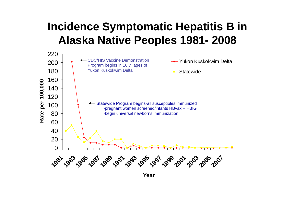#### **Incidence Symptomatic Hepatitis B in Alaska Native Peoples 1981- 2008**



**Year**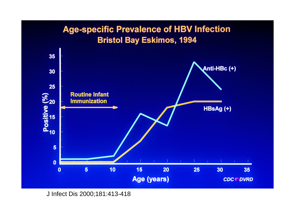#### **Age-specific Prevalence of HBV Infection Bristol Bay Eskimos, 1994**



J Infect Dis 2000;181:413-418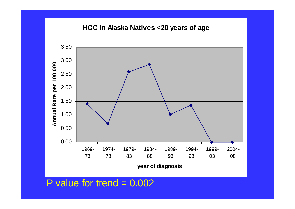#### **HCC in Alaska Natives <20 years of age**



P value for trend  $= 0.002$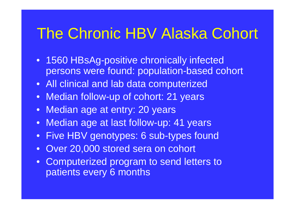## The Chronic HBV Alaska Cohort

- 1560 HBsAg-positive chronically infected persons were found: population-based cohort
- All clinical and lab data computerized
- Median follow-up of cohort: 21 years
- Median age at entry: 20 years
- Median age at last follow-up: 41 years
- Five HBV genotypes: 6 sub-types found
- •Over 20,000 stored sera on cohort
- Computerized program to send letters to patients every 6 months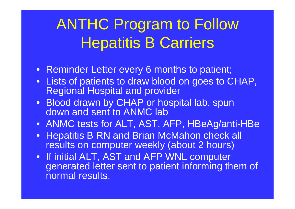# ANTHC Program to Follow Hepatitis B Carriers

- Reminder Letter every 6 months to patient;
- Lists of patients to draw blood on goes to CHAP, Regional Hospital and provider
- Blood drawn by CHAP or hospital lab, spun down and sent to ANMC lab
- ANMC tests for ALT, AST, AFP, HBeAg/anti-HBe
- Hepatitis B RN and Brian McMahon check all results on computer weekly (about 2 hours)
- If initial ALT, AST and AFP WNL computer generated letter sent to patient informing them of normal results.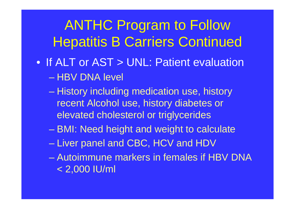## ANTHC Program to Follow Hepatitis B Carriers Continued

- If ALT or AST > UNL: Patient evaluation – HBV DNA level
	- History including medication use, history recent Alcohol use, history diabetes or elevated cholesterol or triglycerides
	- BMI: Need height and weight to calculate
	- Liver panel and CBC, HCV and HDV
	- Autoimmune markers in females if HBV DNA < 2,000 IU/ml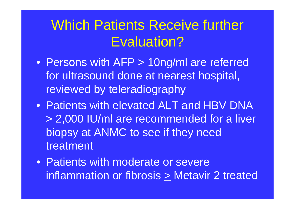#### Which Patients Receive further Evaluation?

- Persons with AFP > 10ng/ml are referred for ultrasound done at nearest hospital, reviewed by teleradiography
- Patients with elevated ALT and HBV DNA > 2,000 IU/ml are recommended for a liver biopsy at ANMC to see if they need treatment
- Patients with moderate or severe inflammation or fibrosis > Metavir 2 treated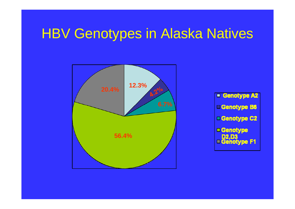#### HBV Genotypes in Alaska Natives



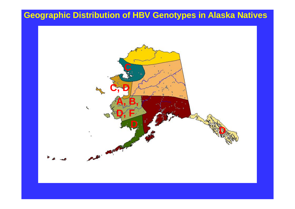#### **Geographic Distribution of HBV Genotypes in Alaska Natives**

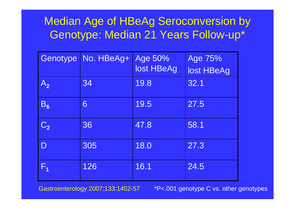#### Median Age of HBeAg Seroconversion by Genotype: Median 21 Years Follow-up\*

| Genotype       | No. HBeAg+ | Age 50%<br>lost HBeAg | Age 75%<br>lost HBeAg |
|----------------|------------|-----------------------|-----------------------|
| $A_{2}$        | 34         | 19.8                  | 32.1                  |
| $B_6$          | 6          | 19.5                  | 27.5                  |
| C <sub>2</sub> | 36         | 47.8                  | 58.1                  |
| $\mathsf{D}$   | 305        | 18.0                  | 27.3                  |
| $F_{4}$        | 126        | 16.1                  | 24.5                  |

Gastroenterology 2007;133:1452-57 \*P<.001 genotype C vs. other genotypes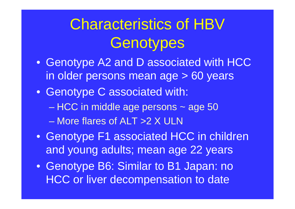# Characteristics of HBV **Genotypes**

- Genotype A2 and D associated with HCC in older persons mean age > 60 years
- Genotype C associated with: – HCC in middle age persons ~ age 50 – More flares of ALT >2 X ULN
- Genotype F1 associated HCC in children and young adults; mean age 22 years
- Genotype B6: Similar to B1 Japan: no HCC or liver decompensation to date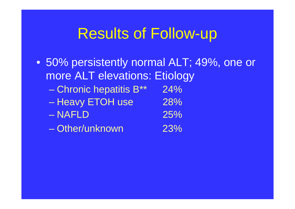## Results of Follow-up

• 50% persistently normal ALT; 49%, one or more ALT elevations: Etiology  $-$  Chronic hepatitis B\*\* 24% – Heavy ETOH use  $128\%$ – NAFLD 25%– Other/unknown 23%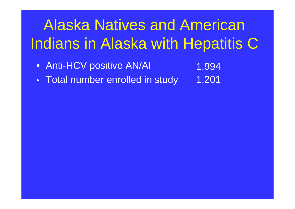# Alaska Natives and American Indians in Alaska with Hepatitis C

• Anti-HCV positive AN/AI

- 1,994 1,201
- $\bullet$ Total number enrolled in study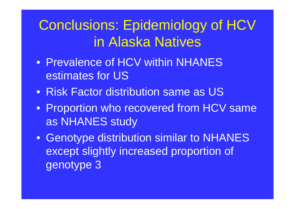## Conclusions: Epidemiology of HCV in Alaska Natives

- Prevalence of HCV within NHANES estimates for US
- Risk Factor distribution same as US
- Proportion who recovered from HCV same as NHANES study
- Genotype distribution similar to NHANES except slightly increased proportion of genotype 3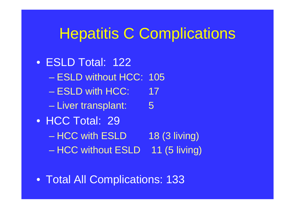#### Hepatitis C Complications

- ESLD Total: 122 – ESLD without HCC: 105 – ESLD with HCC: 17 – Liver transplant: 5 • HCC Total: 29 – HCC with ESLD 18 (3 living) – HCC without ESLD – 11 (5 living)
- Total All Complications: 133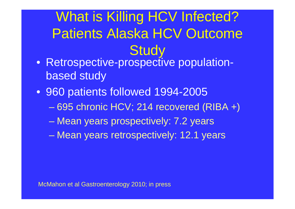## What is Killing HCV Infected? Patients Alaska HCV Outcome **Study**

- Retrospective-prospective populationbased study
- 960 patients followed 1994-2005
	- 695 chronic HCV; 214 recovered (RIBA +)
	- Mean years prospectively: 7.2 years
	- Mean years retrospectively: 12.1 years

McMahon et al Gastroenterology 2010; in press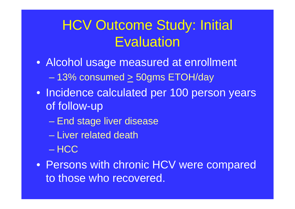### HCV Outcome Study: Initial **Evaluation**

- Alcohol usage measured at enrollment – 13% consumed  $\succeq$  50gms ETOH/day
- Incidence calculated per 100 person years of follow-up
	- End stage liver disease
	- Liver related death
	- HCC
- Persons with chronic HCV were compared to those who recovered.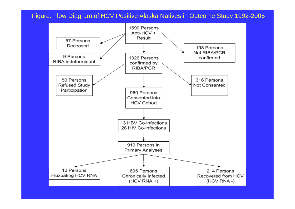Figure: Flow Diagram of HCV Positive Alaska Natives in Outcome Study 1992-2005

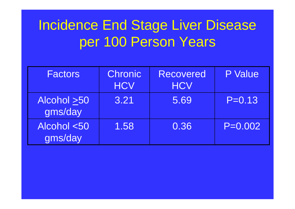## Incidence End Stage Liver Disease per 100 Person Years

| <b>Factors</b>         | <b>Chronic</b><br><b>HCV</b> | <b>Recovered</b><br><b>HCV</b> | P Value     |  |
|------------------------|------------------------------|--------------------------------|-------------|--|
| Alcohol >50<br>gms/day | 3.21                         | 5.69                           | $P = 0.13$  |  |
| Alcohol <50<br>gms/day | 1.58                         | 0.36                           | $P = 0.002$ |  |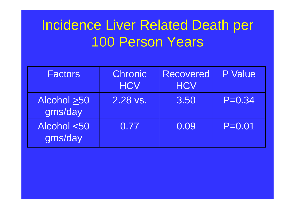#### Incidence Liver Related Death per 100 Person Years

| <b>Factors</b>         | <b>Chronic</b><br><b>HCV</b> | <b>Recovered</b><br><b>HCV</b> | P Value    |
|------------------------|------------------------------|--------------------------------|------------|
| Alcohol >50<br>gms/day | 2.28 vs.                     | 3.50                           | $P = 0.34$ |
| Alcohol <50<br>gms/day | 0.77                         | 0.09                           | $P = 0.01$ |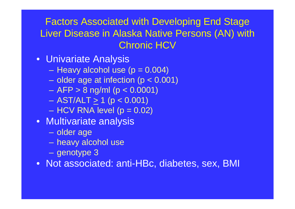Factors Associated with Developing End Stage Liver Disease in Alaska Native Persons (AN) with Chronic HCV

- Univariate Analysis
	- Heavy alcohol use (p = 0.004) l
	- $-$  older age at infection (p < 0.001)
	- –AFP > 8 ng/ml (p < 0.0001)
	- $-$  AST/ALT  $\geq$  1 (p < 0.001)  $\,$
	- $\mathcal{L}_{\mathcal{A}}$ HCV RNA level (p = 0.02)
- Multivariate analysis
	- –– older age
	- heavy alcohol use
	- $\mathcal{L}_{\mathcal{A}}$ – genotype 3

• Not associated: anti-HBc, diabetes, sex, BMI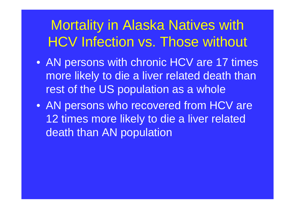## Mortality in Alaska Natives with HCV Infection vs. Those without

- AN persons with chronic HCV are 17 times more likely to die a liver related death than rest of the US population as a whole
- AN persons who recovered from HCV are 12 times more likely to die a liver related death than AN population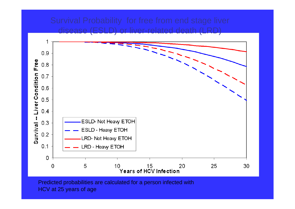# disease (ESLD) or liver-related death (LRD)

1  $0.9$ 



Predicted probabilities are calculated for a person infected with HCV at 25 years of age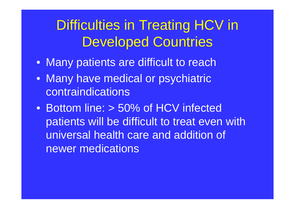### Difficulties in Treating HCV in Developed Countries

- Many patients are difficult to reach
- Many have medical or psychiatric contraindications
- Bottom line: > 50% of HCV infected patients will be difficult to treat even with universal health care and addition of newer medications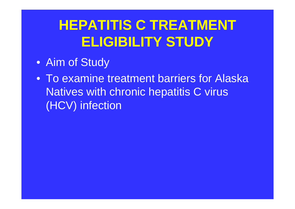## **HEPATITIS C TREATMENT ELIGIBILITY STUDY**

- Aim of Study
- To examine treatment barriers for Alaska Natives with chronic hepatitis C virus (HCV) infection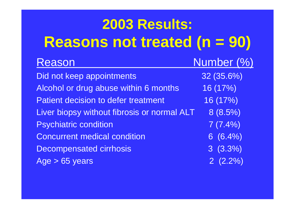#### **2003 Results: Reasons not treated (n = 90)** Reason Number (%) Did not keep appointments 32 (35.6%) Alcohol or drug abuse within 6 months 16 (17%) Patient decision to defer treatment 16 (17%) Liver biopsy without fibrosis or normal  $ALT = 8 (8.5%)$ Psychiatric condition and the condition of  $7(7.4%)$ Concurrent medical condition 6 (6.4%) Decompensated cirrhosis 3 (3.3%)  $Age > 65 years$  2 (2.2%)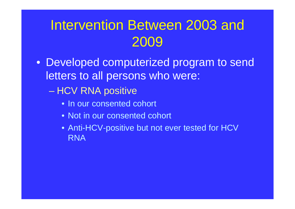### Intervention Between 2003 and 2009

- Developed computerized program to send letters to all persons who were:
	- HCV RNA positive
		- In our consented cohort
		- Not in our consented cohort
		- Anti-HCV-positive but not ever tested for HCV RNA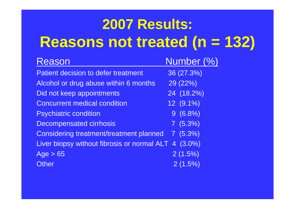# **2007 Results: Reasons not treated (n = 132)**

| Reason                                         | Number (%) |
|------------------------------------------------|------------|
| <b>Patient decision to defer treatment</b>     | 36 (27.3%) |
| Alcohol or drug abuse within 6 months          | 29 (22%)   |
| Did not keep appointments                      | 24 (18.2%) |
| <b>Concurrent medical condition</b>            | 12 (9.1%)  |
| <b>Psychiatric condition</b>                   | $9(6.8\%)$ |
| <b>Decompensated cirrhosis</b>                 | 7(5.3%)    |
| <b>Considering treatment/treatment planned</b> | 7(5.3%)    |
| Liver biopsy without fibrosis or normal ALT    | $4(3.0\%)$ |
| Age > 65                                       | 2(1.5%)    |
| <b>Other</b>                                   | 2(1.5%)    |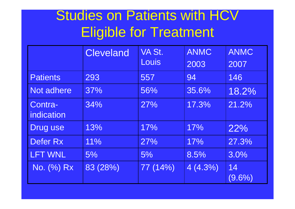#### Studies on Patients with HCV Eligible for Treatment

|                       | <b>Cleveland</b> | VA St.<br>Louis | <b>ANMC</b><br>2003 | <b>ANMC</b><br>2007 |
|-----------------------|------------------|-----------------|---------------------|---------------------|
| <b>Patients</b>       | 293              | 557             | 94                  | 146                 |
| Not adhere            | 37%              | 56%             | 35.6%               | 18.2%               |
| Contra-<br>indication | 34%              | 27%             | 17.3%               | 21.2%               |
| Drug use              | 13%              | 17%             | 17%                 | 22%                 |
| Defer Rx              | 11%              | 27%             | 17%                 | 27.3%               |
| <b>LFT WNL</b>        | 5%               | 5%              | 8.5%                | 3.0%                |
| No. (%) Rx            | 83 (28%)         | 77 (14%)        | 4(4.3%)             | 14<br>$(9.6\%)$     |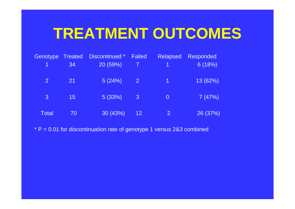## **TREATMENT OUTCOMES**

| Genotype       | <b>Treated</b> | Discontinued * | <b>Failed</b>           | <b>Relapsed</b>      | <b>Responded</b> |
|----------------|----------------|----------------|-------------------------|----------------------|------------------|
| $\overline{1}$ | 34             | 20 (59%)       | $\overline{7}$          | $\overline{1}$       | 6(18%)           |
| $\overline{2}$ | 21             | 5(24%)         | <b>27</b>               | $\blacktriangleleft$ | 13 (62%)         |
| $\mathbf{3}$   | 15             | 5(33%)         | $\overline{\mathbf{3}}$ | $\Omega$             | 7(47%)           |
| <b>Total</b>   | 70             | 30 (43%)       | 12 <sub>2</sub>         | $\overline{2}$       | 26 (37%)         |

 $*$  P = 0.01 for discontinuation rate of genotype 1 versus 2&3 combined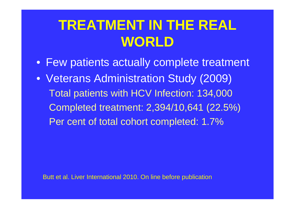#### **TREATMENT IN THE REAL WORLD**

- Few patients actually complete treatment
- Veterans Administration Study (2009) Total patients with HCV Infection: 134,000 Completed treatment: 2,394/10,641 (22.5%) Per cent of total cohort completed: 1.7%

Butt et al. Liver International 2010. On line before publication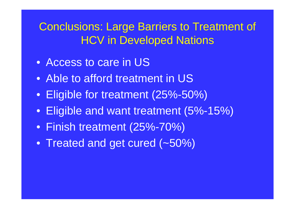#### Conclusions: Large Barriers to Treatment of HCV in Developed Nations

- Access to care in US
- Able to afford treatment in US
- Eligible for treatment (25%-50%)
- Eligible and want treatment (5%-15%)
- Finish treatment (25%-70%)
- Treated and get cured (~50%)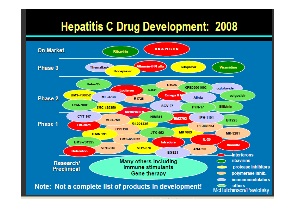#### **Hepatitis C Drug Development: 2008**